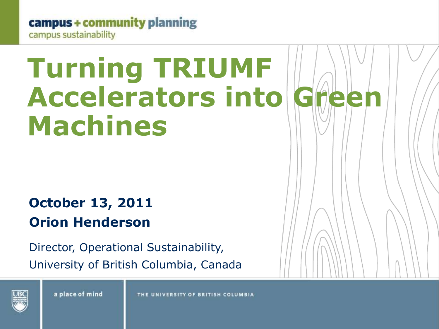### campus + community planning

campus sustainability

# **Turning'TRIUMF'** Accelerators into Green **Machines**

## **October 13, 2011 Orion Henderson**

Director, Operational Sustainability, University of British Columbia, Canada



a place of mind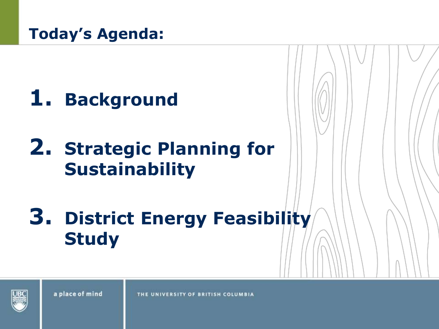**1. Background**

# **2. Strategic Planning for Sustainability**

**3. District Energy Feasibility Study**

a place of mind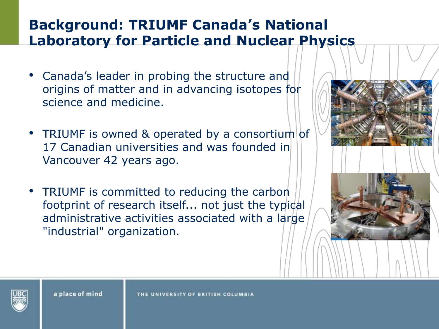### **Background: TRIUMF Canada's National Laboratory for Particle and Nuclear Physics**

- Canada's leader in probing the structure and origins of matter and in advancing isotopes for science and medicine.
- TRIUMF is owned & operated by a consortium of 17 Canadian universities and was founded in Vancouver 42 years ago.
- TRIUMF is committed to reducing the carbon footprint of research itself... not just the typical administrative activities associated with a large "industrial" organization.





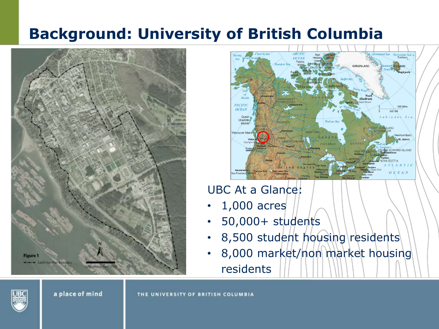# **Background: University of British Columbia**





### UBC At a Glance:

- 1,000)acres
- $\cdot$  50,000+ students
- 8,500 student housing\residents
- 8,000 market/non market housing residents

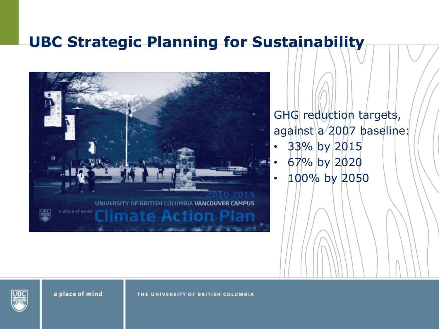## **UBC Strategic Planning for Sustainability**



GHG reduction targets, against\a/2007 baseline:

- 33% by 2015
- 67%)by)2020
- $\cdot$  100% by 2050

THE UNIVERSITY OF BRITISH COLUMBIA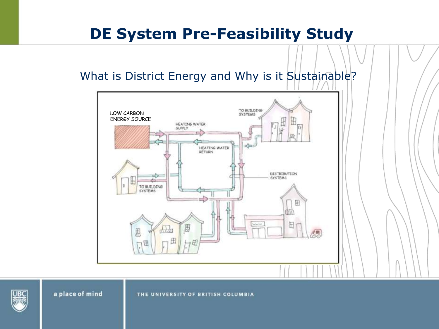### What is District Energy and Why is it Sustainable?



a place of mind

#### THE UNIVERSITY OF BRITISH COLUMBIA

**UBC**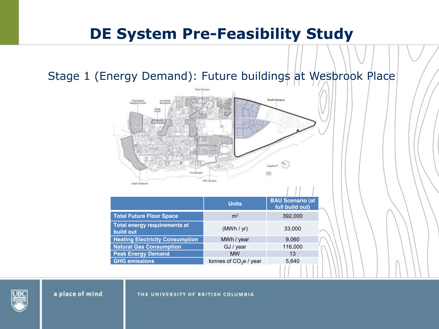### Stage 1 (Energy Demand): Future buildings at Wesbrook Place



UBC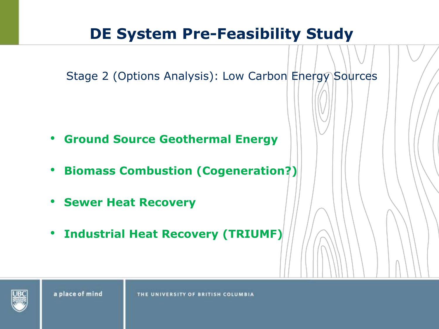Stage 2 (Options Analysis): Low Carbon Energy Sources

- **Ground Source Geothermal Energy**
- **Biomass Combustion (Cogeneration?)**
- **Sewer Heat Recovery**
- **Industrial Heat Recovery (TRIUMF)**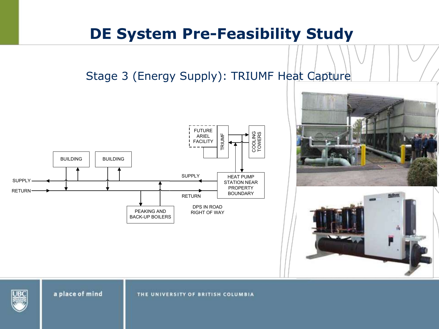### Stage 3 (Energy Supply): TRIUMF Heat Capture









a place of mind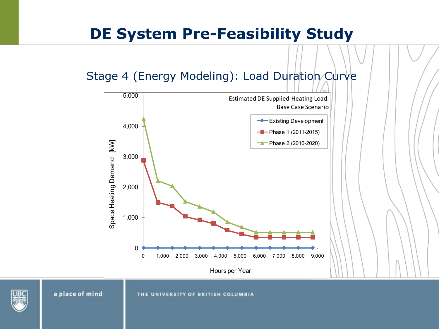### Stage 4 (Energy Modeling): Load Duration Curve



a place of mind

THE UNIVERSITY OF BRITISH COLUMBIA

UBC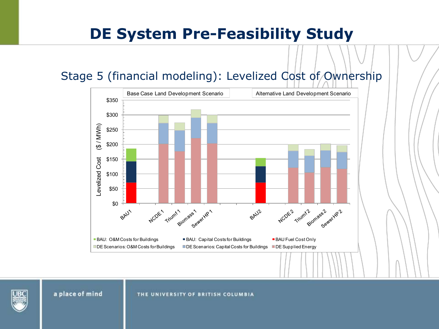### Stage 5 (financial modeling): Levelized Cost of Ownership



a place of mind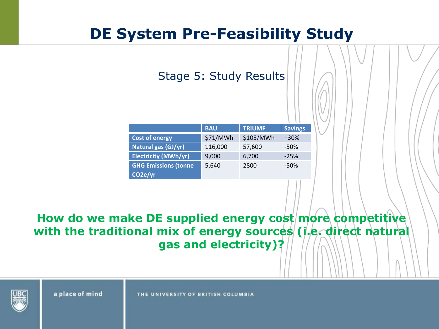### Stage 5: Study Results

|                             | <b>BAU</b> | <b>TRIUMF</b> | <b>Savings</b> |
|-----------------------------|------------|---------------|----------------|
| <b>Cost of energy</b>       | \$71/MWh   | \$105/MWh     | $+30%$         |
| Natural gas (GJ/yr)         | 116,000    | 57,600        | $-50%$         |
| <b>Electricity (MWh/yr)</b> | 9,000      | 6,700         | $-25%$         |
| <b>GHG Emissions (tonne</b> | 5,640      | 2800          | $-50%$         |
| CO2e/yr                     |            |               |                |

How do we make DE supplied energy cost/more competitive with the traditional mix of energy sources (i.e. direct natural **gas'and'electricity)?**

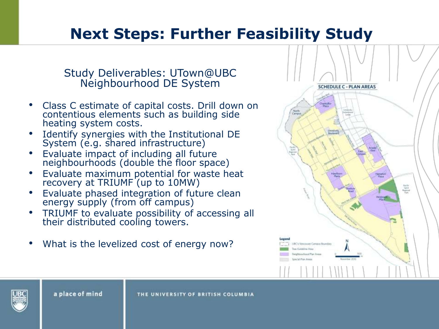# **Next Steps: Further Feasibility Study**

### Study Deliverables: UTown@UBC Neighbourhood DE System

- Class C estimate of capital costs. Drill down on contentious elements such as building side heating system costs.
- Identify synergies with the Institutional DE System (e.g. shared infrastructure)
- Evaluate impact of including all future neighbourhoods (double the floor space)
- Evaluate maximum potential for waste heat recovery at TRIUMF (up to 10MW)
- Evaluate phased integration of future clean energy supply (from off campus)
- TRIUMF to evaluate possibility of accessing all their distributed cooling towers.
- What is the levelized cost of energy now?



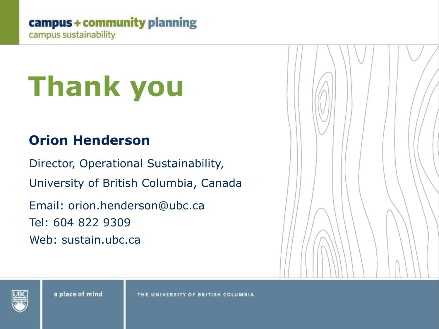### campus + community planning

campus sustainability

# **Thank'you**

### **Orion Henderson**

Director, Operational Sustainability, University of British Columbia, Canada Email: orion.henderson@ubc.ca Tel: 604 822 9309 Web: sustain.ubc.ca